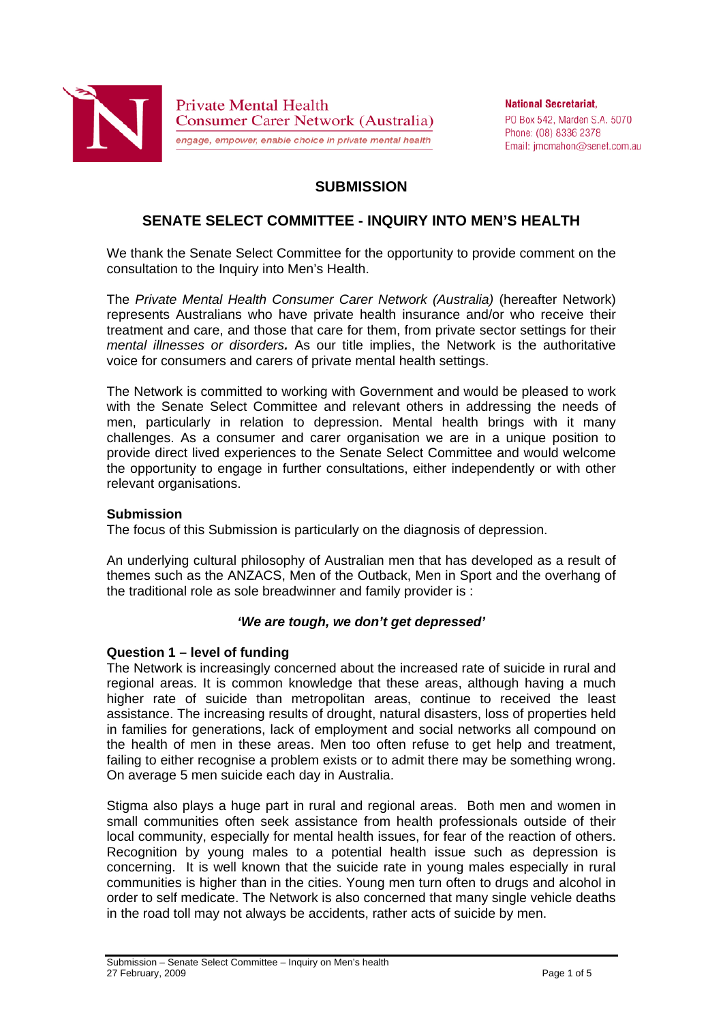

**National Secretariat.** PO Box 542, Marden S.A. 5070 Phone: (08) 8336 2378 Email: jmcmahon@senet.com.au

# **SUBMISSION**

# **SENATE SELECT COMMITTEE - INQUIRY INTO MEN'S HEALTH**

We thank the Senate Select Committee for the opportunity to provide comment on the consultation to the Inquiry into Men's Health.

The *Private Mental Health Consumer Carer Network (Australia)* (hereafter Network) represents Australians who have private health insurance and/or who receive their treatment and care, and those that care for them, from private sector settings for their *mental illnesses or disorders.* As our title implies, the Network is the authoritative voice for consumers and carers of private mental health settings.

The Network is committed to working with Government and would be pleased to work with the Senate Select Committee and relevant others in addressing the needs of men, particularly in relation to depression. Mental health brings with it many challenges. As a consumer and carer organisation we are in a unique position to provide direct lived experiences to the Senate Select Committee and would welcome the opportunity to engage in further consultations, either independently or with other relevant organisations.

#### **Submission**

The focus of this Submission is particularly on the diagnosis of depression.

An underlying cultural philosophy of Australian men that has developed as a result of themes such as the ANZACS, Men of the Outback, Men in Sport and the overhang of the traditional role as sole breadwinner and family provider is :

### *'We are tough, we don't get depressed'*

#### **Question 1 – level of funding**

The Network is increasingly concerned about the increased rate of suicide in rural and regional areas. It is common knowledge that these areas, although having a much higher rate of suicide than metropolitan areas, continue to received the least assistance. The increasing results of drought, natural disasters, loss of properties held in families for generations, lack of employment and social networks all compound on the health of men in these areas. Men too often refuse to get help and treatment, failing to either recognise a problem exists or to admit there may be something wrong. On average 5 men suicide each day in Australia.

Stigma also plays a huge part in rural and regional areas. Both men and women in small communities often seek assistance from health professionals outside of their local community, especially for mental health issues, for fear of the reaction of others. Recognition by young males to a potential health issue such as depression is concerning. It is well known that the suicide rate in young males especially in rural communities is higher than in the cities. Young men turn often to drugs and alcohol in order to self medicate. The Network is also concerned that many single vehicle deaths in the road toll may not always be accidents, rather acts of suicide by men.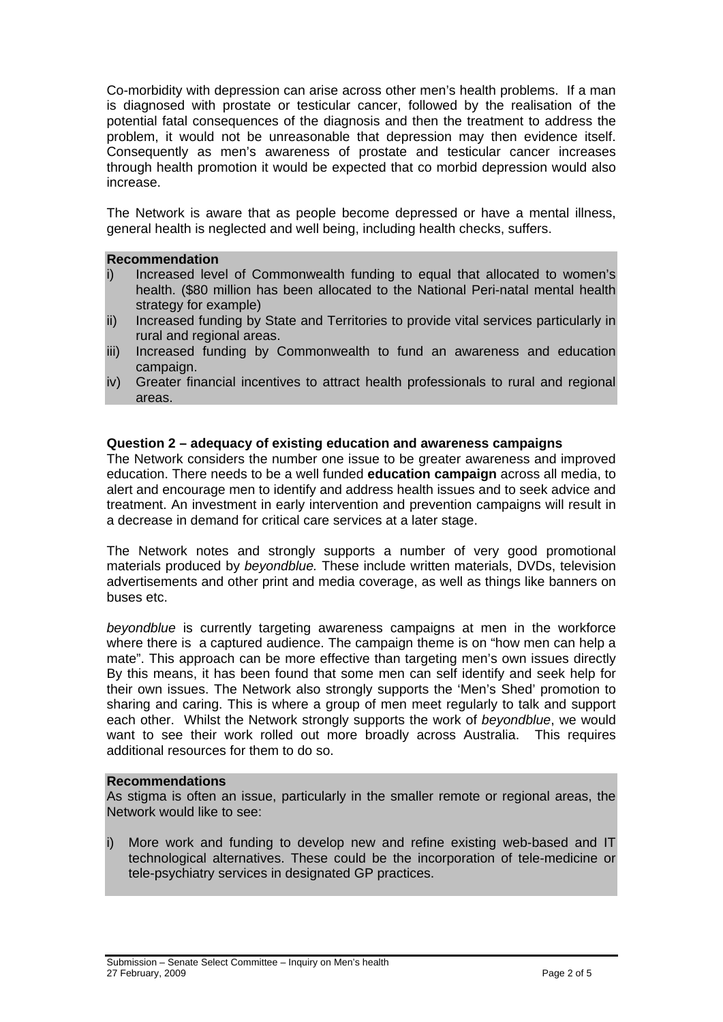Co-morbidity with depression can arise across other men's health problems. If a man is diagnosed with prostate or testicular cancer, followed by the realisation of the potential fatal consequences of the diagnosis and then the treatment to address the problem, it would not be unreasonable that depression may then evidence itself. Consequently as men's awareness of prostate and testicular cancer increases through health promotion it would be expected that co morbid depression would also increase.

The Network is aware that as people become depressed or have a mental illness, general health is neglected and well being, including health checks, suffers.

## **Recommendation**

- i) Increased level of Commonwealth funding to equal that allocated to women's health. (\$80 million has been allocated to the National Peri-natal mental health strategy for example)
- ii) Increased funding by State and Territories to provide vital services particularly in rural and regional areas.
- iii) Increased funding by Commonwealth to fund an awareness and education campaign.
- iv) Greater financial incentives to attract health professionals to rural and regional areas.

#### **Question 2 – adequacy of existing education and awareness campaigns**

The Network considers the number one issue to be greater awareness and improved education. There needs to be a well funded **education campaign** across all media, to alert and encourage men to identify and address health issues and to seek advice and treatment. An investment in early intervention and prevention campaigns will result in a decrease in demand for critical care services at a later stage.

The Network notes and strongly supports a number of very good promotional materials produced by *beyondblue.* These include written materials, DVDs, television advertisements and other print and media coverage, as well as things like banners on buses etc.

*beyondblue* is currently targeting awareness campaigns at men in the workforce where there is a captured audience. The campaign theme is on "how men can help a mate". This approach can be more effective than targeting men's own issues directly By this means, it has been found that some men can self identify and seek help for their own issues. The Network also strongly supports the 'Men's Shed' promotion to sharing and caring. This is where a group of men meet regularly to talk and support each other. Whilst the Network strongly supports the work of *beyondblue*, we would want to see their work rolled out more broadly across Australia. This requires additional resources for them to do so.

#### **Recommendations**

As stigma is often an issue, particularly in the smaller remote or regional areas, the Network would like to see:

i) More work and funding to develop new and refine existing web-based and IT technological alternatives. These could be the incorporation of tele-medicine or tele-psychiatry services in designated GP practices.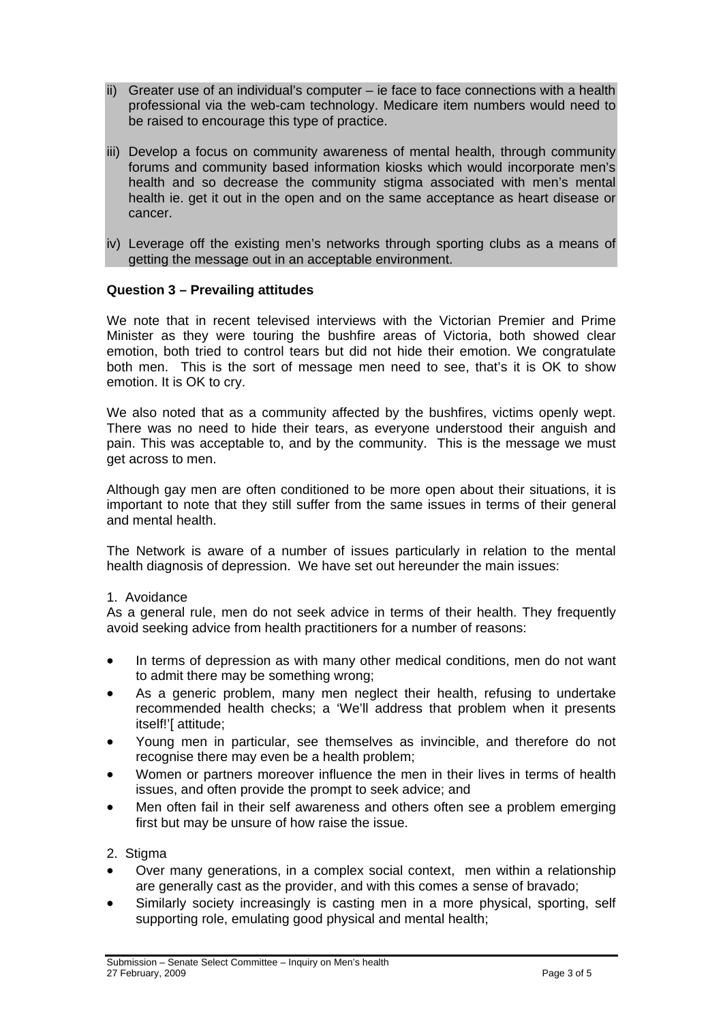- ii) Greater use of an individual's computer ie face to face connections with a health professional via the web-cam technology. Medicare item numbers would need to be raised to encourage this type of practice.
- iii) Develop a focus on community awareness of mental health, through community forums and community based information kiosks which would incorporate men's health and so decrease the community stigma associated with men's mental health ie. get it out in the open and on the same acceptance as heart disease or cancer.
- iv) Leverage off the existing men's networks through sporting clubs as a means of getting the message out in an acceptable environment.

# **Question 3 – Prevailing attitudes**

We note that in recent televised interviews with the Victorian Premier and Prime Minister as they were touring the bushfire areas of Victoria, both showed clear emotion, both tried to control tears but did not hide their emotion. We congratulate both men. This is the sort of message men need to see, that's it is OK to show emotion. It is OK to cry.

We also noted that as a community affected by the bushfires, victims openly wept. There was no need to hide their tears, as everyone understood their anguish and pain. This was acceptable to, and by the community. This is the message we must get across to men.

Although gay men are often conditioned to be more open about their situations, it is important to note that they still suffer from the same issues in terms of their general and mental health.

The Network is aware of a number of issues particularly in relation to the mental health diagnosis of depression. We have set out hereunder the main issues:

### 1. Avoidance

As a general rule, men do not seek advice in terms of their health. They frequently avoid seeking advice from health practitioners for a number of reasons:

- In terms of depression as with many other medical conditions, men do not want to admit there may be something wrong;
- As a generic problem, many men neglect their health, refusing to undertake recommended health checks; a 'We'll address that problem when it presents itself!'[ attitude;
- Young men in particular, see themselves as invincible, and therefore do not recognise there may even be a health problem;
- Women or partners moreover influence the men in their lives in terms of health issues, and often provide the prompt to seek advice; and
- Men often fail in their self awareness and others often see a problem emerging first but may be unsure of how raise the issue.

### 2. Stigma

- Over many generations, in a complex social context, men within a relationship are generally cast as the provider, and with this comes a sense of bravado;
- Similarly society increasingly is casting men in a more physical, sporting, self supporting role, emulating good physical and mental health;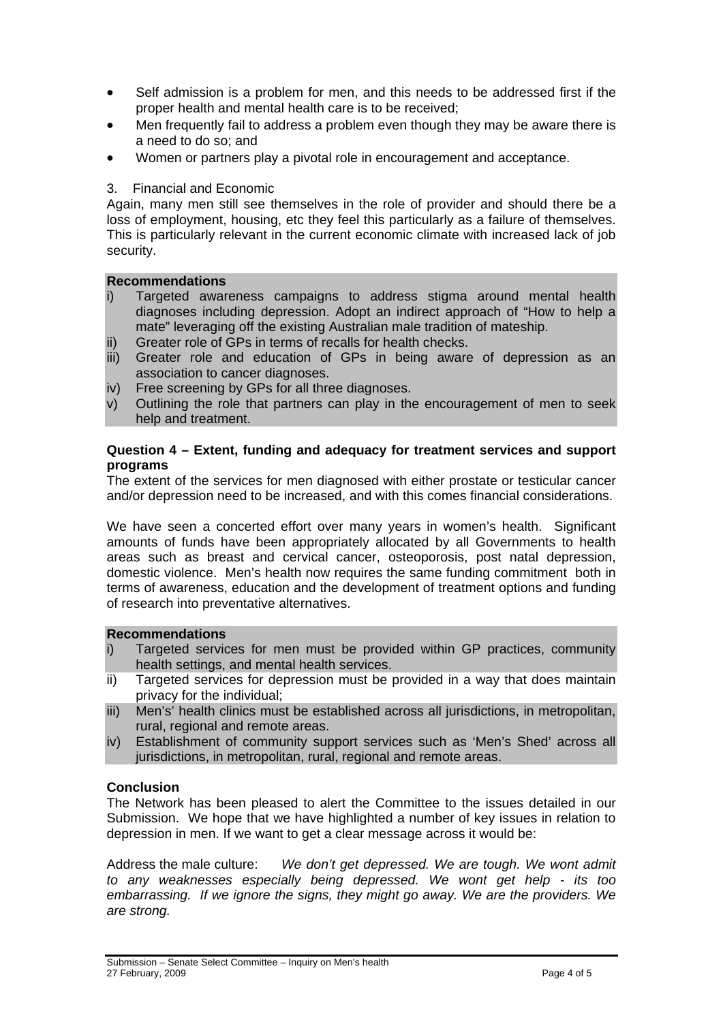- Self admission is a problem for men, and this needs to be addressed first if the proper health and mental health care is to be received;
- Men frequently fail to address a problem even though they may be aware there is a need to do so; and
- Women or partners play a pivotal role in encouragement and acceptance.

### 3. Financial and Economic

Again, many men still see themselves in the role of provider and should there be a loss of employment, housing, etc they feel this particularly as a failure of themselves. This is particularly relevant in the current economic climate with increased lack of job security.

### **Recommendations**

- i) Targeted awareness campaigns to address stigma around mental health diagnoses including depression. Adopt an indirect approach of "How to help a mate" leveraging off the existing Australian male tradition of mateship.
- ii) Greater role of GPs in terms of recalls for health checks.
- iii) Greater role and education of GPs in being aware of depression as an association to cancer diagnoses.
- iv) Free screening by GPs for all three diagnoses.
- v) Outlining the role that partners can play in the encouragement of men to seek help and treatment.

#### **Question 4 – Extent, funding and adequacy for treatment services and support programs**

The extent of the services for men diagnosed with either prostate or testicular cancer and/or depression need to be increased, and with this comes financial considerations.

We have seen a concerted effort over many years in women's health. Significant amounts of funds have been appropriately allocated by all Governments to health areas such as breast and cervical cancer, osteoporosis, post natal depression, domestic violence. Men's health now requires the same funding commitment both in terms of awareness, education and the development of treatment options and funding of research into preventative alternatives.

### **Recommendations**

- i) Targeted services for men must be provided within GP practices, community health settings, and mental health services.
- ii) Targeted services for depression must be provided in a way that does maintain privacy for the individual;
- iii) Men's' health clinics must be established across all jurisdictions, in metropolitan, rural, regional and remote areas.
- iv) Establishment of community support services such as 'Men's Shed' across all jurisdictions, in metropolitan, rural, regional and remote areas.

### **Conclusion**

The Network has been pleased to alert the Committee to the issues detailed in our Submission. We hope that we have highlighted a number of key issues in relation to depression in men. If we want to get a clear message across it would be:

Address the male culture: *We don't get depressed. We are tough. We wont admit to any weaknesses especially being depressed. We wont get help - its too embarrassing. If we ignore the signs, they might go away. We are the providers. We are strong.*